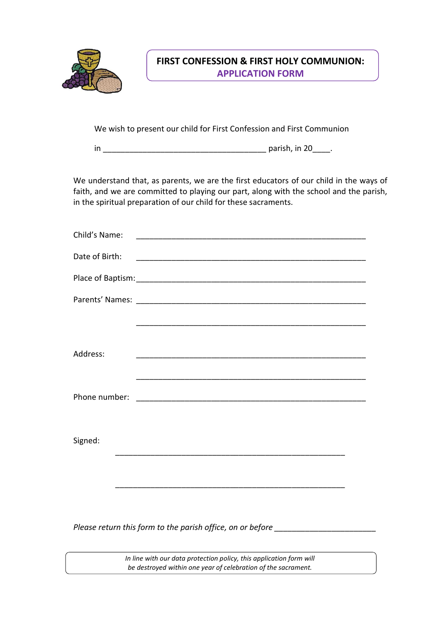

## **FIRST CONFESSION & FIRST HOLY COMMUNION: APPLICATION FORM**

We wish to present our child for First Confession and First Communion

in \_\_\_\_\_\_\_\_\_\_\_\_\_\_\_\_\_\_\_\_\_\_\_\_\_\_\_\_\_\_\_\_\_\_\_\_\_ parish, in 20\_\_\_\_.

We understand that, as parents, we are the first educators of our child in the ways of faith, and we are committed to playing our part, along with the school and the parish, in the spiritual preparation of our child for these sacraments.

| Child's Name:  |  |
|----------------|--|
| Date of Birth: |  |
|                |  |
|                |  |
|                |  |
|                |  |
| Address:       |  |
|                |  |
| Phone number:  |  |
|                |  |
| Signed:        |  |
|                |  |
|                |  |
|                |  |

Please return this form to the parish office, on or before \_\_\_\_\_\_\_\_\_\_\_\_\_\_\_\_\_\_\_\_\_\_\_

*In line with our data protection policy, this application form will be destroyed within one year of celebration of the sacrament.*